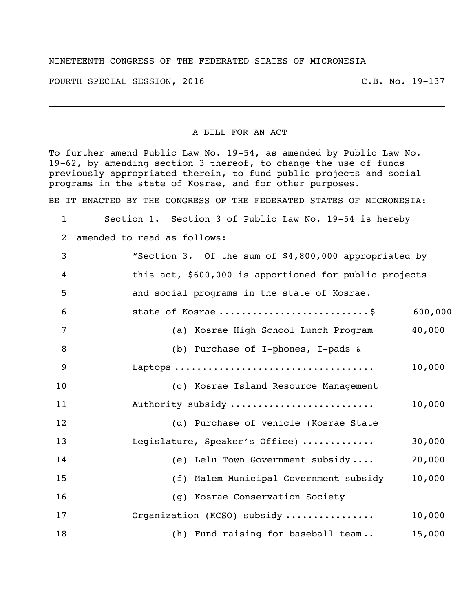## NINETEENTH CONGRESS OF THE FEDERATED STATES OF MICRONESIA

FOURTH SPECIAL SESSION, 2016 C.B. No. 19-137

A BILL FOR AN ACT

To further amend Public Law No. 19-54, as amended by Public Law No. 19-62, by amending section 3 thereof, to change the use of funds previously appropriated therein, to fund public projects and social programs in the state of Kosrae, and for other purposes.

BE IT ENACTED BY THE CONGRESS OF THE FEDERATED STATES OF MICRONESIA:

Section 1. Section 3 of Public Law No. 19-54 is hereby

amended to read as follows:

| 3               | "Section 3. Of the sum of \$4,800,000 appropriated by  |         |
|-----------------|--------------------------------------------------------|---------|
| 4               | this act, \$600,000 is apportioned for public projects |         |
| 5               | and social programs in the state of Kosrae.            |         |
| $6\phantom{1}6$ | state of Kosrae \$                                     | 600,000 |
| 7               | (a) Kosrae High School Lunch Program                   | 40,000  |
| 8               | (b) Purchase of I-phones, I-pads &                     |         |
| 9               |                                                        | 10,000  |
| 10              | (c) Kosrae Island Resource Management                  |         |
| 11              | Authority subsidy                                      | 10,000  |
| 12              | (d) Purchase of vehicle (Kosrae State                  |         |
| 13              | Legislature, Speaker's Office)                         | 30,000  |
| 14              | (e) Lelu Town Government subsidy                       | 20,000  |
| 15              | (f) Malem Municipal Government subsidy                 | 10,000  |
| 16              | (g) Kosrae Conservation Society                        |         |
| 17              | Organization (KCSO) subsidy                            | 10,000  |
| 18              | (h) Fund raising for baseball team                     | 15,000  |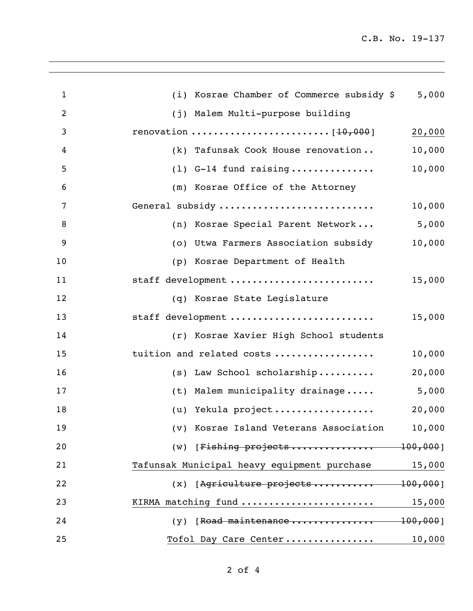C.B. No. 19-137

| $\mathbf{1}$ | 5,000<br>(i) Kosrae Chamber of Commerce subsidy \$    |
|--------------|-------------------------------------------------------|
| 2            | (j) Malem Multi-purpose building                      |
| 3            | 20,000                                                |
| 4            | 10,000<br>(k) Tafunsak Cook House renovation          |
| 5            | 10,000<br>$(1)$ G-14 fund raising                     |
| 6            | (m) Kosrae Office of the Attorney                     |
| 7            | General subsidy<br>10,000                             |
| 8            | 5,000<br>(n) Kosrae Special Parent Network            |
| 9            | 10,000<br>(o) Utwa Farmers Association subsidy        |
| 10           | (p) Kosrae Department of Health                       |
| 11           | staff development<br>15,000                           |
| 12           | (q) Kosrae State Legislature                          |
| 13           | staff development<br>15,000                           |
| 14           | (r) Kosrae Xavier High School students                |
| 15           | tuition and related costs<br>10,000                   |
| 16           | 20,000<br>$(s)$ Law School scholarship                |
| 17           | 5,000<br>(t) Malem municipality drainage              |
| 18           | (u) Yekula project<br>20,000                          |
| 19           | 10,000<br>(v) Kosrae Island Veterans Association      |
| 20           | $(w)$ [Fishing projects 100,000]                      |
| 21           | Tafunsak Municipal heavy equipment purchase<br>15,000 |
| 22           | $(x)$ [Agriculture projects 100,000]                  |
| 23           | KIRMA matching fund<br>15,000                         |
| 24           | $(y)$ [Road maintenance 100,000]                      |
| 25           | 10,000<br>Tofol Day Care Center                       |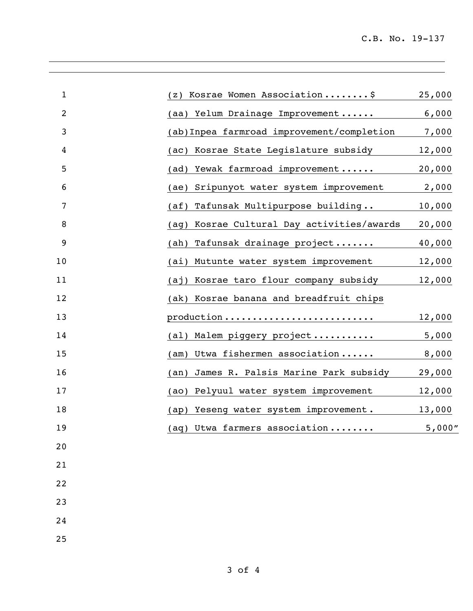| $\mathbf{1}$   | Kosrae Women Association\$<br>(z)                      | 25,000 |
|----------------|--------------------------------------------------------|--------|
| $\overline{2}$ | (aa) Yelum Drainage Improvement                        | 6,000  |
| 3              | (ab) Inpea farmroad improvement/completion             | 7,000  |
| 4              | Kosrae State Legislature subsidy<br>(ac)               | 12,000 |
| 5              | Yewak farmroad improvement<br>(ad)                     | 20,000 |
| 6              | Sripunyot water system improvement<br>(ae)             | 2,000  |
| 7              | Tafunsak Multipurpose building<br>(a <sup>f</sup> )    | 10,000 |
| 8              | Kosrae Cultural Day activities/awards<br>(aq)          | 20,000 |
| 9              | Tafunsak drainage project<br>(ah)                      | 40,000 |
| 10             | Mutunte water system improvement<br>(ai)               | 12,000 |
| 11             | Kosrae taro flour company subsidy<br>(a <sub>1</sub> ) | 12,000 |
| 12             | (ak) Kosrae banana and breadfruit chips                |        |
| 13             | production                                             | 12,000 |
| 14             | (al) Malem piggery project                             | 5,000  |
| 15             | Utwa fishermen association<br>$(\text{am})$            | 8,000  |
| 16             | James R. Palsis Marine Park subsidy<br>(an)            | 29,000 |
| 17             | Pelyuul water system improvement<br>(a)                | 12,000 |
| 18             | Yeseng water system improvement.<br>(ap)               | 13,000 |
| 19             | (aq) Utwa farmers association                          | 5,000" |
| 20             |                                                        |        |
| 21             |                                                        |        |
| 22             |                                                        |        |